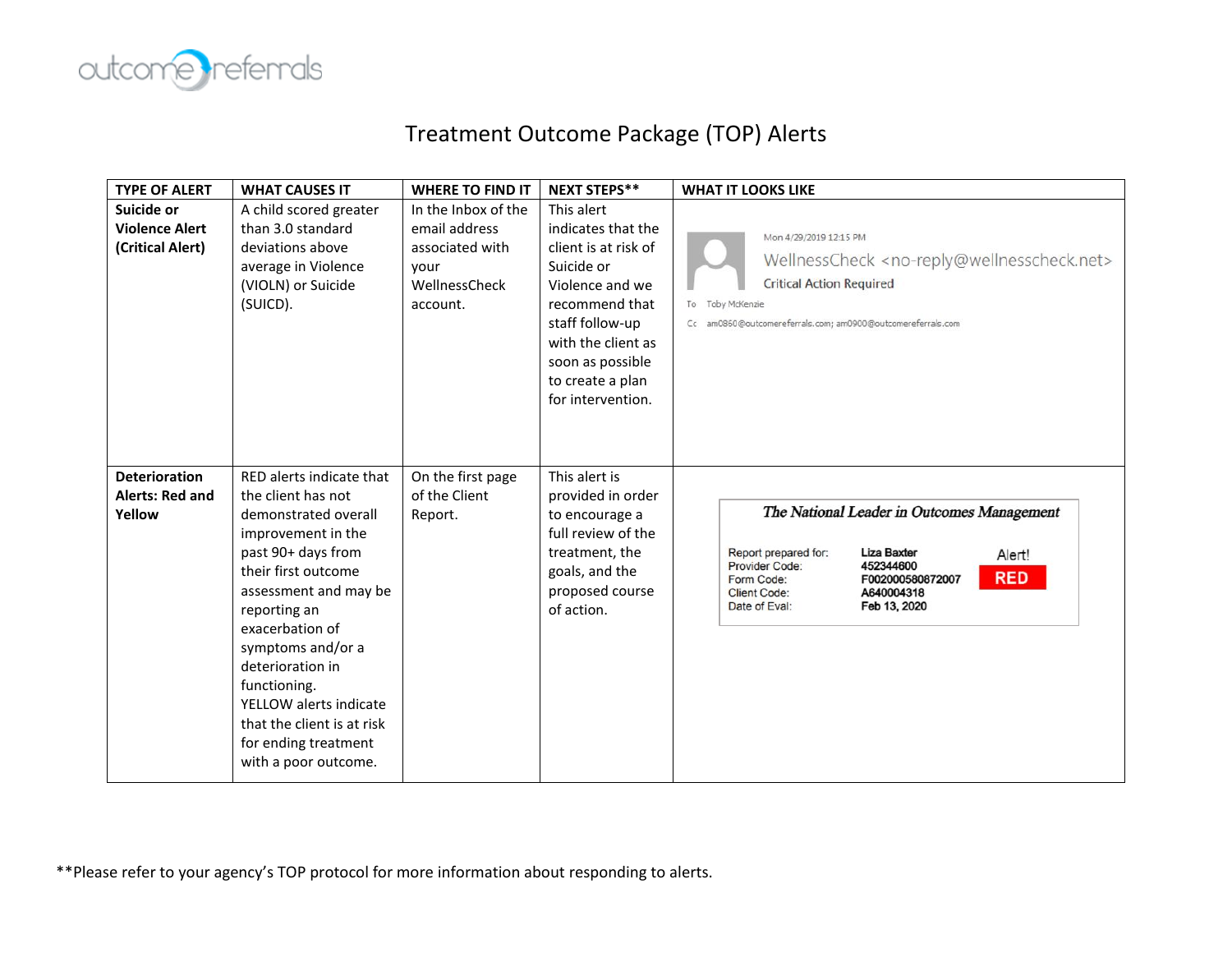

## Treatment Outcome Package (TOP) Alerts

| <b>TYPE OF ALERT</b>                                     | <b>WHAT CAUSES IT</b>                                                                                                                                                                                                                                                                                                                                                  | <b>WHERE TO FIND IT</b>                                                                      | <b>NEXT STEPS**</b>                                                                                                                                                                                               | <b>WHAT IT LOOKS LIKE</b>                                                                                                                                                                                                                               |
|----------------------------------------------------------|------------------------------------------------------------------------------------------------------------------------------------------------------------------------------------------------------------------------------------------------------------------------------------------------------------------------------------------------------------------------|----------------------------------------------------------------------------------------------|-------------------------------------------------------------------------------------------------------------------------------------------------------------------------------------------------------------------|---------------------------------------------------------------------------------------------------------------------------------------------------------------------------------------------------------------------------------------------------------|
| Suicide or<br><b>Violence Alert</b><br>(Critical Alert)  | A child scored greater<br>than 3.0 standard<br>deviations above<br>average in Violence<br>(VIOLN) or Suicide<br>(SUICD).                                                                                                                                                                                                                                               | In the Inbox of the<br>email address<br>associated with<br>your<br>WellnessCheck<br>account. | This alert<br>indicates that the<br>client is at risk of<br>Suicide or<br>Violence and we<br>recommend that<br>staff follow-up<br>with the client as<br>soon as possible<br>to create a plan<br>for intervention. | Mon 4/29/2019 12:15 PM<br>WellnessCheck <no-reply@wellnesscheck.net><br/><b>Critical Action Required</b><br/>To Toby McKenzie<br/>Cc am0860@outcomereferrals.com; am0900@outcomereferrals.com</no-reply@wellnesscheck.net>                              |
| <b>Deterioration</b><br><b>Alerts: Red and</b><br>Yellow | RED alerts indicate that<br>the client has not<br>demonstrated overall<br>improvement in the<br>past 90+ days from<br>their first outcome<br>assessment and may be<br>reporting an<br>exacerbation of<br>symptoms and/or a<br>deterioration in<br>functioning.<br>YELLOW alerts indicate<br>that the client is at risk<br>for ending treatment<br>with a poor outcome. | On the first page<br>of the Client<br>Report.                                                | This alert is<br>provided in order<br>to encourage a<br>full review of the<br>treatment, the<br>goals, and the<br>proposed course<br>of action.                                                                   | The National Leader in Outcomes Management<br>Report prepared for:<br><b>Liza Baxter</b><br>Alert!<br>452344600<br>Provider Code:<br><b>RED</b><br>F002000580872007<br>Form Code:<br>A640004318<br><b>Client Code:</b><br>Date of Eval:<br>Feb 13, 2020 |

\*\*Please refer to your agency's TOP protocol for more information about responding to alerts.